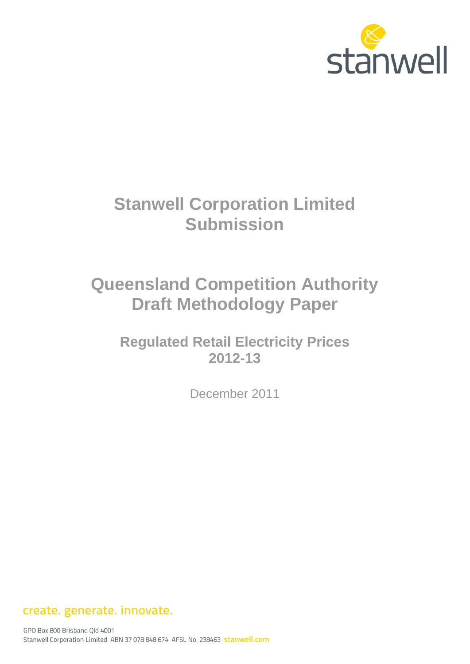

# **Stanwell Corporation Limited Submission**

# **Queensland Competition Authority Draft Methodology Paper**

**Regulated Retail Electricity Prices 2012-13** 

December 2011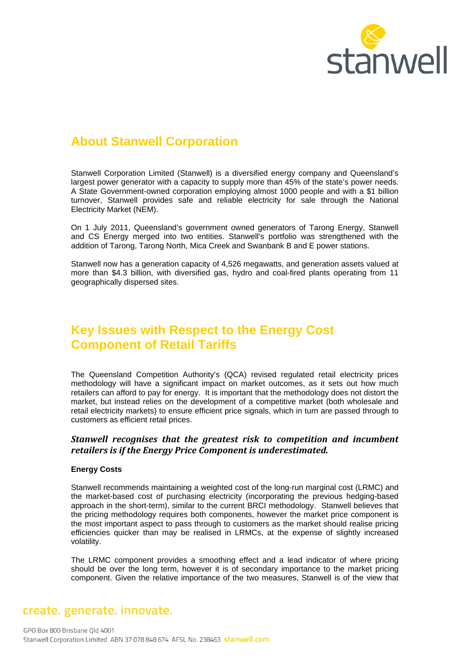

# **About Stanwell Corporation**

Stanwell Corporation Limited (Stanwell) is a diversified energy company and Queensland's largest power generator with a capacity to supply more than 45% of the state's power needs. A State Government-owned corporation employing almost 1000 people and with a \$1 billion turnover, Stanwell provides safe and reliable electricity for sale through the National Electricity Market (NEM).

On 1 July 2011, Queensland's government owned generators of Tarong Energy, Stanwell and CS Energy merged into two entities. Stanwell's portfolio was strengthened with the addition of Tarong, Tarong North, Mica Creek and Swanbank B and E power stations.

Stanwell now has a generation capacity of 4,526 megawatts, and generation assets valued at more than \$4.3 billion, with diversified gas, hydro and coal-fired plants operating from 11 geographically dispersed sites.

# **Key Issues with Respect to the Energy Cost Component of Retail Tariffs**

The Queensland Competition Authority's (QCA) revised regulated retail electricity prices methodology will have a significant impact on market outcomes, as it sets out how much retailers can afford to pay for energy. It is important that the methodology does not distort the market, but instead relies on the development of a competitive market (both wholesale and retail electricity markets) to ensure efficient price signals, which in turn are passed through to customers as efficient retail prices.

#### *Stanwell recognises that the greatest risk to competition and incumbent retailers is if the Energy Price Component is underestimated.*

#### **Energy Costs**

Stanwell recommends maintaining a weighted cost of the long-run marginal cost (LRMC) and the market-based cost of purchasing electricity (incorporating the previous hedging-based approach in the short-term), similar to the current BRCI methodology. Stanwell believes that the pricing methodology requires both components, however the market price component is the most important aspect to pass through to customers as the market should realise pricing efficiencies quicker than may be realised in LRMCs, at the expense of slightly increased volatility.

The LRMC component provides a smoothing effect and a lead indicator of where pricing should be over the long term, however it is of secondary importance to the market pricing component. Given the relative importance of the two measures, Stanwell is of the view that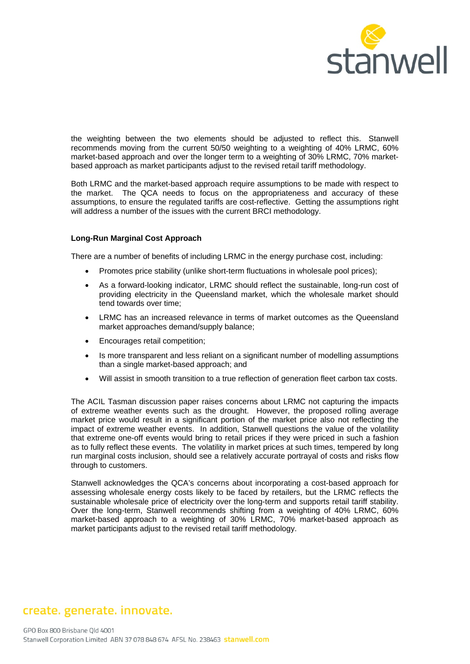

the weighting between the two elements should be adjusted to reflect this. Stanwell recommends moving from the current 50/50 weighting to a weighting of 40% LRMC, 60% market-based approach and over the longer term to a weighting of 30% LRMC, 70% marketbased approach as market participants adjust to the revised retail tariff methodology.

Both LRMC and the market-based approach require assumptions to be made with respect to the market. The QCA needs to focus on the appropriateness and accuracy of these assumptions, to ensure the regulated tariffs are cost-reflective. Getting the assumptions right will address a number of the issues with the current BRCI methodology.

#### **Long-Run Marginal Cost Approach**

There are a number of benefits of including LRMC in the energy purchase cost, including:

- Promotes price stability (unlike short-term fluctuations in wholesale pool prices);
- As a forward-looking indicator, LRMC should reflect the sustainable, long-run cost of providing electricity in the Queensland market, which the wholesale market should tend towards over time;
- LRMC has an increased relevance in terms of market outcomes as the Queensland market approaches demand/supply balance;
- **Encourages retail competition;**
- Is more transparent and less reliant on a significant number of modelling assumptions than a single market-based approach; and
- Will assist in smooth transition to a true reflection of generation fleet carbon tax costs.

The ACIL Tasman discussion paper raises concerns about LRMC not capturing the impacts of extreme weather events such as the drought. However, the proposed rolling average market price would result in a significant portion of the market price also not reflecting the impact of extreme weather events. In addition, Stanwell questions the value of the volatility that extreme one-off events would bring to retail prices if they were priced in such a fashion as to fully reflect these events. The volatility in market prices at such times, tempered by long run marginal costs inclusion, should see a relatively accurate portrayal of costs and risks flow through to customers.

Stanwell acknowledges the QCA's concerns about incorporating a cost-based approach for assessing wholesale energy costs likely to be faced by retailers, but the LRMC reflects the sustainable wholesale price of electricity over the long-term and supports retail tariff stability. Over the long-term, Stanwell recommends shifting from a weighting of 40% LRMC, 60% market-based approach to a weighting of 30% LRMC, 70% market-based approach as market participants adjust to the revised retail tariff methodology.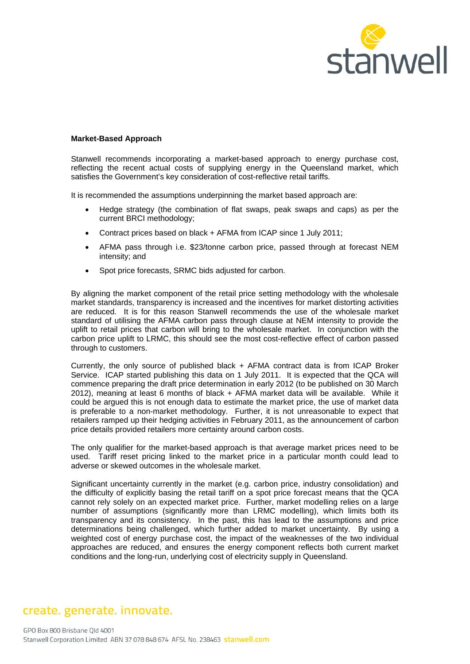

#### **Market-Based Approach**

Stanwell recommends incorporating a market-based approach to energy purchase cost, reflecting the recent actual costs of supplying energy in the Queensland market, which satisfies the Government's key consideration of cost-reflective retail tariffs.

It is recommended the assumptions underpinning the market based approach are:

- Hedge strategy (the combination of flat swaps, peak swaps and caps) as per the current BRCI methodology;
- Contract prices based on black + AFMA from ICAP since 1 July 2011;
- AFMA pass through i.e. \$23/tonne carbon price, passed through at forecast NEM intensity; and
- Spot price forecasts, SRMC bids adjusted for carbon.

By aligning the market component of the retail price setting methodology with the wholesale market standards, transparency is increased and the incentives for market distorting activities are reduced. It is for this reason Stanwell recommends the use of the wholesale market standard of utilising the AFMA carbon pass through clause at NEM intensity to provide the uplift to retail prices that carbon will bring to the wholesale market. In conjunction with the carbon price uplift to LRMC, this should see the most cost-reflective effect of carbon passed through to customers.

Currently, the only source of published black + AFMA contract data is from ICAP Broker Service. ICAP started publishing this data on 1 July 2011. It is expected that the QCA will commence preparing the draft price determination in early 2012 (to be published on 30 March 2012), meaning at least 6 months of black + AFMA market data will be available. While it could be argued this is not enough data to estimate the market price, the use of market data is preferable to a non-market methodology. Further, it is not unreasonable to expect that retailers ramped up their hedging activities in February 2011, as the announcement of carbon price details provided retailers more certainty around carbon costs.

The only qualifier for the market-based approach is that average market prices need to be used. Tariff reset pricing linked to the market price in a particular month could lead to adverse or skewed outcomes in the wholesale market.

Significant uncertainty currently in the market (e.g. carbon price, industry consolidation) and the difficulty of explicitly basing the retail tariff on a spot price forecast means that the QCA cannot rely solely on an expected market price. Further, market modelling relies on a large number of assumptions (significantly more than LRMC modelling), which limits both its transparency and its consistency. In the past, this has lead to the assumptions and price determinations being challenged, which further added to market uncertainty. By using a weighted cost of energy purchase cost, the impact of the weaknesses of the two individual approaches are reduced, and ensures the energy component reflects both current market conditions and the long-run, underlying cost of electricity supply in Queensland.